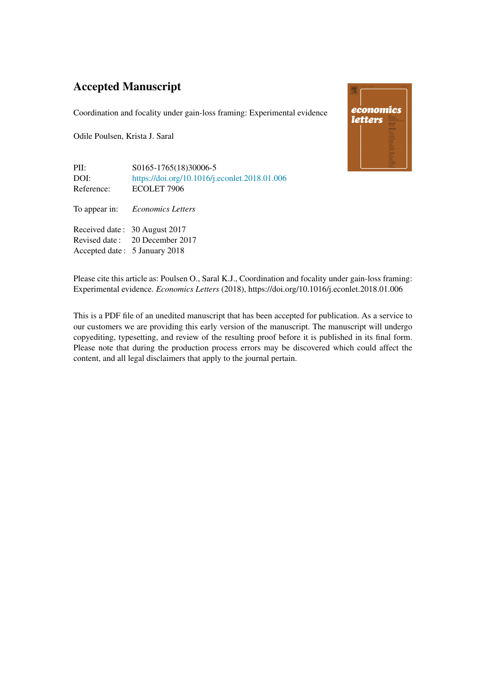# Accepted Manuscript

Coordination and focality under gain-loss framing: Experimental evidence

Odile Poulsen, Krista J. Saral

Accepted date : 5 January 2018



PII: S0165-1765(18)30006-5 DOI: <https://doi.org/10.1016/j.econlet.2018.01.006><br>Reference: ECOLET 7906 ECOLET 7906 To appear in: *Economics Letters* Received date : 30 August 2017 Revised date : 20 December 2017

Please cite this article as: Poulsen O., Saral K.J., Coordination and focality under gain-loss framing: Experimental evidence. *Economics Letters* (2018), https://doi.org/10.1016/j.econlet.2018.01.006

This is a PDF file of an unedited manuscript that has been accepted for publication. As a service to our customers we are providing this early version of the manuscript. The manuscript will undergo copyediting, typesetting, and review of the resulting proof before it is published in its final form. Please note that during the production process errors may be discovered which could affect the content, and all legal disclaimers that apply to the journal pertain.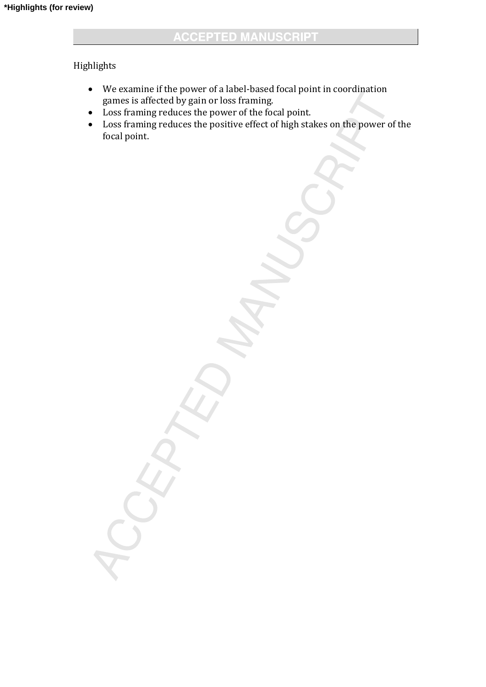# Highlights

- We examine if the power of a label-based focal point in coordination games is affected by gain or loss framing.
- Loss framing reduces the power of the focal point.
- Loss framing reduces the positive effect of high stakes on the power of the focal point.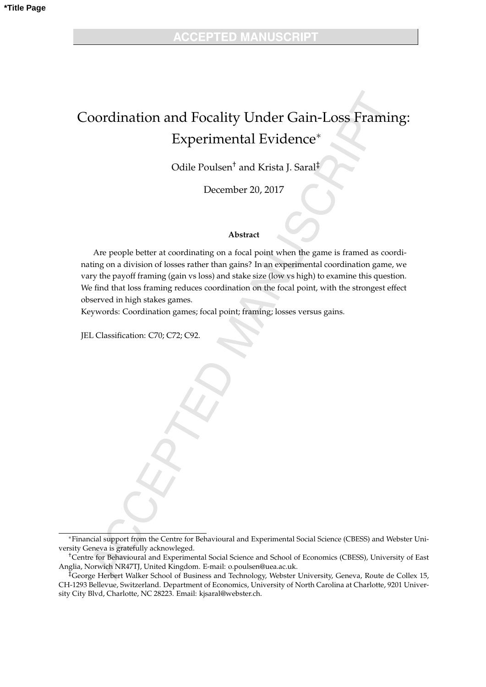# Coordination and Focality Under Gain-Loss Framing: Experimental Evidence

Odile Poulsen† and Krista J. Saral‡

December 20, 2017

#### **Abstract**

Are people better at coordinating on a focal point when the game is framed as coordinating on a division of losses rather than gains? In an experimental coordination game, we vary the payoff framing (gain vs loss) and stake size (low vs high) to examine this question. We find that loss framing reduces coordination on the focal point, with the strongest effect observed in high stakes games.

Keywords: Coordination games; focal point; framing; losses versus gains.

JEL Classification: C70; C72; C92.

Financial support from the Centre for Behavioural and Experimental Social Science (CBESS) and Webster University Geneva is gratefully acknowleged.

<sup>†</sup>Centre for Behavioural and Experimental Social Science and School of Economics (CBESS), University of East Anglia, Norwich NR47TJ, United Kingdom. E-mail: o.poulsen@uea.ac.uk.

<sup>‡</sup>George Herbert Walker School of Business and Technology, Webster University, Geneva, Route de Collex 15, CH-1293 Bellevue, Switzerland. Department of Economics, University of North Carolina at Charlotte, 9201 University City Blvd, Charlotte, NC 28223. Email: kjsaral@webster.ch.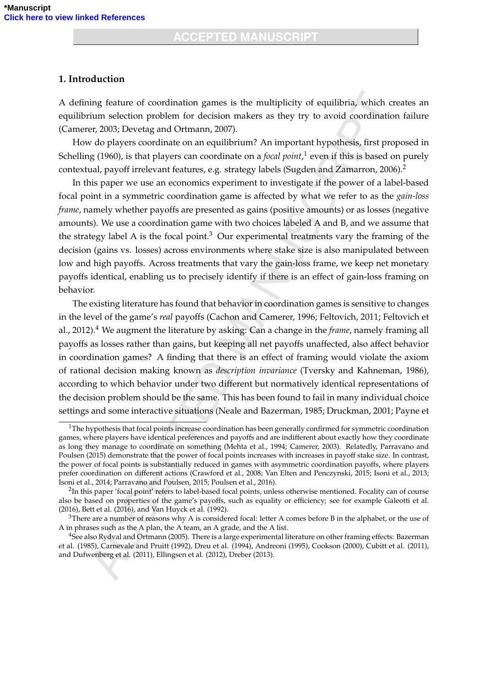#### **1. Introduction**

A defining feature of coordination games is the multiplicity of equilibria, which creates an equilibrium selection problem for decision makers as they try to avoid coordination failure (Camerer, 2003; Devetag and Ortmann, 2007).

How do players coordinate on an equilibrium? An important hypothesis, first proposed in Schelling (1960), is that players can coordinate on a *focal point*, 1 even if this is based on purely contextual, payoff irrelevant features, e.g. strategy labels (Sugden and Zamarron, 2006).<sup>2</sup>

In this paper we use an economics experiment to investigate if the power of a label-based focal point in a symmetric coordination game is affected by what we refer to as the *gain-loss frame*, namely whether payoffs are presented as gains (positive amounts) or as losses (negative amounts). We use a coordination game with two choices labeled A and B, and we assume that the strategy label A is the focal point.<sup>3</sup> Our experimental treatments vary the framing of the decision (gains vs. losses) across environments where stake size is also manipulated between low and high payoffs. Across treatments that vary the gain-loss frame, we keep net monetary payoffs identical, enabling us to precisely identify if there is an effect of gain-loss framing on behavior.

The existing literature has found that behavior in coordination games is sensitive to changes in the level of the game's *real* payoffs (Cachon and Camerer, 1996; Feltovich, 2011; Feltovich et al., 2012).<sup>4</sup> We augment the literature by asking: Can a change in the *frame*, namely framing all payoffs as losses rather than gains, but keeping all net payoffs unaffected, also affect behavior in coordination games? A finding that there is an effect of framing would violate the axiom of rational decision making known as *description invariance* (Tversky and Kahneman, 1986), according to which behavior under two different but normatively identical representations of the decision problem should be the same. This has been found to fail in many individual choice settings and some interactive situations (Neale and Bazerman, 1985; Druckman, 2001; Payne et

 $1$ The hypothesis that focal points increase coordination has been generally confirmed for symmetric coordination games, where players have identical preferences and payoffs and are indifferent about exactly how they coordinate as long they manage to coordinate on something (Mehta et al., 1994; Camerer, 2003). Relatedly, Parravano and Poulsen (2015) demonstrate that the power of focal points increases with increases in payoff stake size. In contrast, the power of focal points is substantially reduced in games with asymmetric coordination payoffs, where players prefer coordination on different actions (Crawford et al., 2008; Van Elten and Penczynski, 2015; Isoni et al., 2013; Isoni et al., 2014; Parravano and Poulsen, 2015; Poulsen et al., 2016).

 ${}^{2}$ In this paper 'focal point' refers to label-based focal points, unless otherwise mentioned. Focality can of course also be based on properties of the game's payoffs, such as equality or efficiency; see for example Galeotti et al. (2016), Bett et al. (2016), and Van Huyck et al. (1992).

 $3$ There are a number of reasons why A is considered focal: letter A comes before B in the alphabet, or the use of A in phrases such as the A plan, the A team, an A grade, and the A list.

<sup>&</sup>lt;sup>4</sup>See also Rydval and Ortmann (2005). There is a large experimental literature on other framing effects: Bazerman et al. (1985), Carnevale and Pruitt (1992), Dreu et al. (1994), Andreoni (1995), Cookson (2000), Cubitt et al. (2011), and Dufwenberg et al. (2011), Ellingsen et al. (2012), Dreber (2013).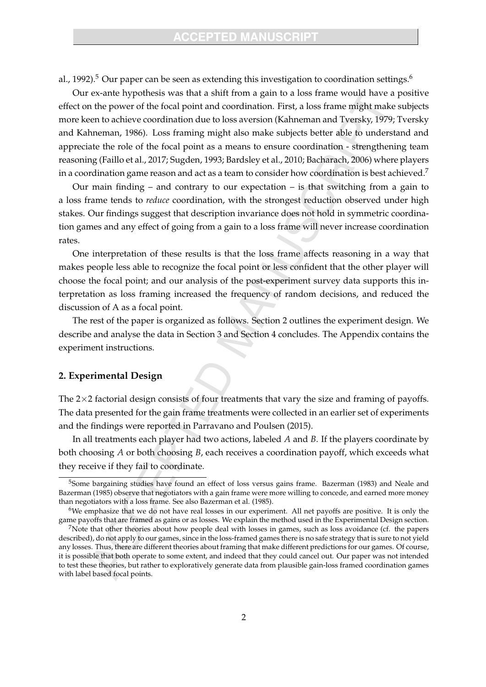### **ACCEPTED MANUSCRIPT**

al., 1992).<sup>5</sup> Our paper can be seen as extending this investigation to coordination settings.<sup>6</sup>

Our ex-ante hypothesis was that a shift from a gain to a loss frame would have a positive effect on the power of the focal point and coordination. First, a loss frame might make subjects more keen to achieve coordination due to loss aversion (Kahneman and Tversky, 1979; Tversky and Kahneman, 1986). Loss framing might also make subjects better able to understand and appreciate the role of the focal point as a means to ensure coordination - strengthening team reasoning (Faillo et al., 2017; Sugden, 1993; Bardsley et al., 2010; Bacharach, 2006) where players in a coordination game reason and act as a team to consider how coordination is best achieved.<sup>7</sup>

Our main finding – and contrary to our expectation – is that switching from a gain to a loss frame tends to *reduce* coordination, with the strongest reduction observed under high stakes. Our findings suggest that description invariance does not hold in symmetric coordination games and any effect of going from a gain to a loss frame will never increase coordination rates.

One interpretation of these results is that the loss frame affects reasoning in a way that makes people less able to recognize the focal point or less confident that the other player will choose the focal point; and our analysis of the post-experiment survey data supports this interpretation as loss framing increased the frequency of random decisions, and reduced the discussion of A as a focal point.

The rest of the paper is organized as follows. Section 2 outlines the experiment design. We describe and analyse the data in Section 3 and Section 4 concludes. The Appendix contains the experiment instructions.

#### **2. Experimental Design**

The  $2\times 2$  factorial design consists of four treatments that vary the size and framing of payoffs. The data presented for the gain frame treatments were collected in an earlier set of experiments and the findings were reported in Parravano and Poulsen (2015).

In all treatments each player had two actions, labeled *A* and *B*. If the players coordinate by both choosing *A* or both choosing *B*, each receives a coordination payoff, which exceeds what they receive if they fail to coordinate.

<sup>&</sup>lt;sup>5</sup>Some bargaining studies have found an effect of loss versus gains frame. Bazerman (1983) and Neale and Bazerman (1985) observe that negotiators with a gain frame were more willing to concede, and earned more money than negotiators with a loss frame. See also Bazerman et al. (1985).

<sup>6</sup>We emphasize that we do not have real losses in our experiment. All net payoffs are positive. It is only the game payoffs that are framed as gains or as losses. We explain the method used in the Experimental Design section.

<sup>&</sup>lt;sup>7</sup>Note that other theories about how people deal with losses in games, such as loss avoidance (cf. the papers described), do not apply to our games, since in the loss-framed games there is no safe strategy that is sure to not yield any losses. Thus, there are different theories about framing that make different predictions for our games. Of course, it is possible that both operate to some extent, and indeed that they could cancel out. Our paper was not intended to test these theories, but rather to exploratively generate data from plausible gain-loss framed coordination games with label based focal points.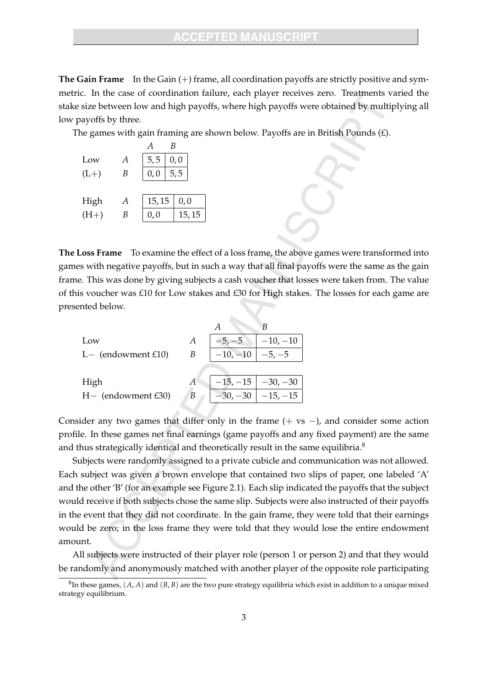**The Gain Frame** In the Gain (+) frame, all coordination payoffs are strictly positive and symmetric. In the case of coordination failure, each player receives zero. Treatments varied the stake size between low and high payoffs, where high payoffs were obtained by multiplying all low payoffs by three.

The games with gain framing are shown below. Payoffs are in British Pounds  $(E)$ .

| Low    | А | 5, 5 |        | 0, 0 |        |
|--------|---|------|--------|------|--------|
| $(L+)$ | B | 0, 0 |        | 5, 5 |        |
|        |   |      |        |      |        |
| High   | А |      | 15, 15 |      | 0, 0   |
| $(H+)$ | В | 0,0  |        |      | 15, 15 |
|        |   |      |        |      |        |

**The Loss Frame** To examine the effect of a loss frame, the above games were transformed into games with negative payoffs, but in such a way that all final payoffs were the same as the gain frame. This was done by giving subjects a cash voucher that losses were taken from. The value of this voucher was £10 for Low stakes and £30 for High stakes. The losses for each game are presented below.

|                      |   |            | В                       |
|----------------------|---|------------|-------------------------|
| Low                  | A | $-5, -5$   | $-10, -10$              |
| $L-$ (endowment £10) | В | $-10, -10$ | $-5, -5$                |
|                      |   |            |                         |
| High                 |   |            | $-15, -15$ $-30, -30$   |
| $H-$ (endowment £30) | B |            | $-30, -30$   $-15, -15$ |
|                      |   |            |                         |

Consider any two games that differ only in the frame  $(+ \text{ vs } -)$ , and consider some action profile. In these games net final earnings (game payoffs and any fixed payment) are the same and thus strategically identical and theoretically result in the same equilibria. $8$ 

Subjects were randomly assigned to a private cubicle and communication was not allowed. Each subject was given a brown envelope that contained two slips of paper, one labeled 'A' and the other 'B' (for an example see Figure 2.1). Each slip indicated the payoffs that the subject would receive if both subjects chose the same slip. Subjects were also instructed of their payoffs in the event that they did not coordinate. In the gain frame, they were told that their earnings would be zero; in the loss frame they were told that they would lose the entire endowment amount.

All subjects were instructed of their player role (person 1 or person 2) and that they would be randomly and anonymously matched with another player of the opposite role participating

 ${}^8$ In these games,  $(A, A)$  and  $(B, B)$  are the two pure strategy equilibria which exist in addition to a unique mixed strategy equilibrium.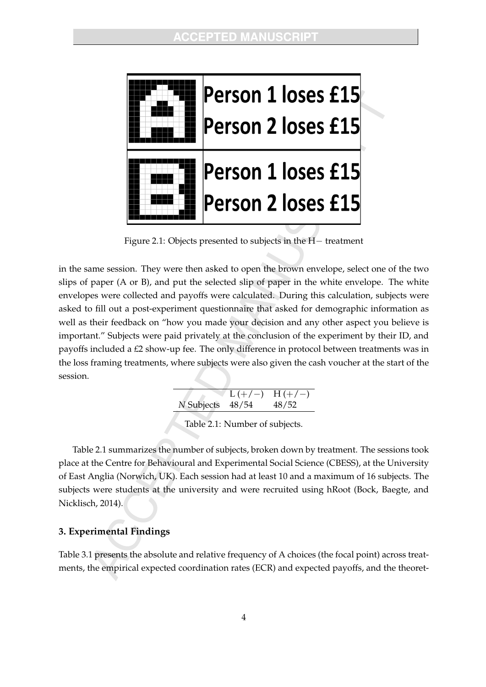

Figure 2.1: Objects presented to subjects in the  $H-$  treatment

in the same session. They were then asked to open the brown envelope, select one of the two slips of paper (A or B), and put the selected slip of paper in the white envelope. The white envelopes were collected and payoffs were calculated. During this calculation, subjects were asked to fill out a post-experiment questionnaire that asked for demographic information as well as their feedback on "how you made your decision and any other aspect you believe is important." Subjects were paid privately at the conclusion of the experiment by their ID, and payoffs included a £2 show-up fee. The only difference in protocol between treatments was in the loss framing treatments, where subjects were also given the cash voucher at the start of the session.

|                  | $L (+/-)$ H(+/-) |
|------------------|------------------|
| N Subjects 48/54 | 48/52            |
|                  |                  |

Table 2.1: Number of subjects.

Table 2.1 summarizes the number of subjects, broken down by treatment. The sessions took place at the Centre for Behavioural and Experimental Social Science (CBESS), at the University of East Anglia (Norwich, UK). Each session had at least 10 and a maximum of 16 subjects. The subjects were students at the university and were recruited using hRoot (Bock, Baegte, and Nicklisch, 2014).

## **3. Experimental Findings**

Table 3.1 presents the absolute and relative frequency of A choices (the focal point) across treatments, the empirical expected coordination rates (ECR) and expected payoffs, and the theoret-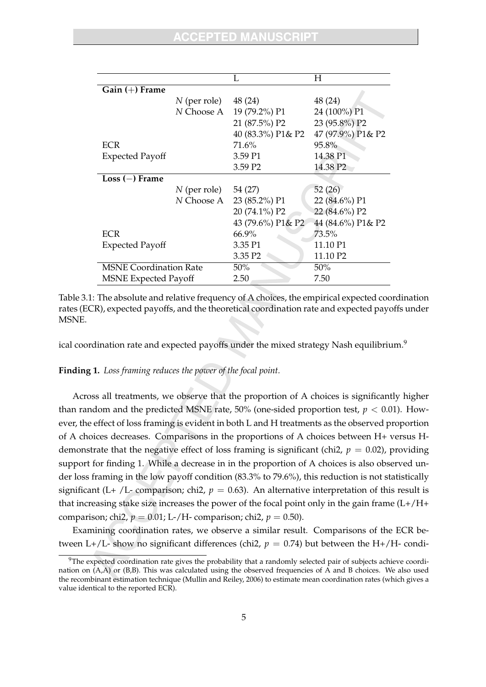|                               |                | L                        | H                    |
|-------------------------------|----------------|--------------------------|----------------------|
| $Gain (+)$ Frame              |                |                          |                      |
|                               | $N$ (per role) | 48 (24)                  | 48 (24)              |
|                               | N Choose A     | 19 (79.2%) P1            | 24 (100%) P1         |
|                               |                | 21 (87.5%) P2            | 23 (95.8%) P2        |
|                               |                | 40 (83.3%) P1& P2        | 47 (97.9%) P1& P2    |
| <b>ECR</b>                    |                | 71.6%                    | 95.8%                |
| <b>Expected Payoff</b>        |                | 3.59 P1                  | 14.38 P1             |
|                               |                | 3.59 P <sub>2</sub>      | 14.38 P <sub>2</sub> |
| $Loss (-)$ Frame              |                |                          |                      |
|                               | $N$ (per role) | 54 (27)                  | 52(26)               |
|                               |                | N Choose A 23 (85.2%) P1 | 22 (84.6%) P1        |
|                               |                | 20 (74.1%) P2            | 22 (84.6%) P2        |
|                               |                | 43 (79.6%) P1& P2        | 44 (84.6%) P1& P2    |
| <b>ECR</b>                    |                | $66.9\%$                 | $73.5\%$             |
| <b>Expected Payoff</b>        |                | 3.35 P1                  | 11.10 P1             |
|                               |                | 3.35 P <sub>2</sub>      | 11.10 P2             |
| <b>MSNE Coordination Rate</b> |                | 50%                      | 50%                  |
| <b>MSNE Expected Payoff</b>   |                | 2.50                     | 7.50                 |

Table 3.1: The absolute and relative frequency of A choices, the empirical expected coordination rates (ECR), expected payoffs, and the theoretical coordination rate and expected payoffs under MSNE.

ical coordination rate and expected payoffs under the mixed strategy Nash equilibrium.<sup>9</sup>

#### **Finding 1.** *Loss framing reduces the power of the focal point.*

Across all treatments, we observe that the proportion of A choices is significantly higher than random and the predicted MSNE rate,  $50\%$  (one-sided proportion test,  $p < 0.01$ ). However, the effect of loss framing is evident in both L and H treatments as the observed proportion of A choices decreases. Comparisons in the proportions of A choices between H+ versus Hdemonstrate that the negative effect of loss framing is significant (chi2,  $p = 0.02$ ), providing support for finding 1. While a decrease in in the proportion of A choices is also observed under loss framing in the low payoff condition (83.3% to 79.6%), this reduction is not statistically significant (L+ /L- comparison; chi2,  $p = 0.63$ ). An alternative interpretation of this result is that increasing stake size increases the power of the focal point only in the gain frame (L+/H+ comparison; chi2,  $p = 0.01$ ; L-/H- comparison; chi2,  $p = 0.50$ ).

Examining coordination rates, we observe a similar result. Comparisons of the ECR between L+/L- show no significant differences (chi2,  $p = 0.74$ ) but between the H+/H- condi-

 $9$ The expected coordination rate gives the probability that a randomly selected pair of subjects achieve coordination on (A,A) or (B,B). This was calculated using the observed frequencies of A and B choices. We also used the recombinant estimation technique (Mullin and Reiley, 2006) to estimate mean coordination rates (which gives a value identical to the reported ECR).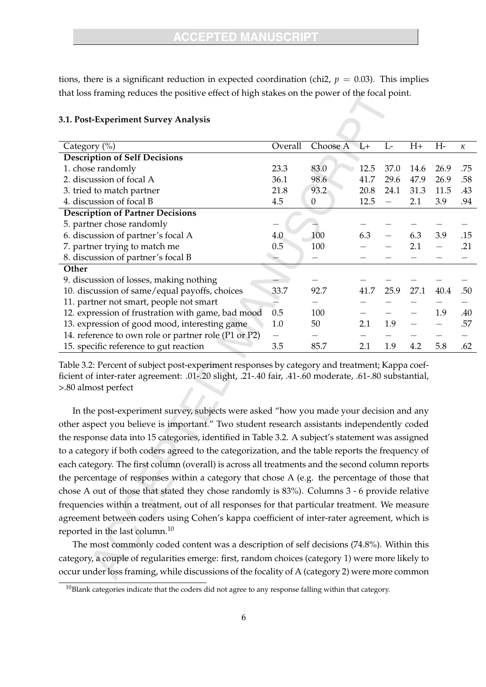tions, there is a significant reduction in expected coordination (chi2,  $p = 0.03$ ). This implies that loss framing reduces the positive effect of high stakes on the power of the focal point.

| Category $(\% )$                                     | Overall | Choose $A$ L+ |      | $L-$ | $H+$ | H-   | $\kappa$ |
|------------------------------------------------------|---------|---------------|------|------|------|------|----------|
| <b>Description of Self Decisions</b>                 |         |               |      |      |      |      |          |
| 1. chose randomly                                    | 23.3    | 83.0          | 12.5 | 37.0 | 14.6 | 26.9 | .75      |
| 2. discussion of focal A                             | 36.1    | 98.6          | 41.7 | 29.6 | 47.9 | 26.9 | .58      |
| 3. tried to match partner                            | 21.8    | 93.2          | 20.8 | 24.1 | 31.3 | 11.5 | .43      |
| 4. discussion of focal B                             | 4.5     | 0             | 12.5 |      | 2.1  | 3.9  | .94      |
| <b>Description of Partner Decisions</b>              |         |               |      |      |      |      |          |
| 5. partner chose randomly                            |         |               |      |      |      |      |          |
| 6. discussion of partner's focal A                   | 4.0     | 100           | 6.3  |      | 6.3  | 3.9  | .15      |
| 7. partner trying to match me                        | 0.5     | 100           |      |      | 2.1  |      | .21      |
| 8. discussion of partner's focal B                   |         |               |      |      |      |      |          |
| Other                                                |         |               |      |      |      |      |          |
| 9. discussion of losses, making nothing              |         |               |      |      |      |      |          |
| 10. discussion of same/equal payoffs, choices        | 33.7    | 92.7          | 41.7 | 25.9 | 27.1 | 40.4 | .50      |
| 11. partner not smart, people not smart              |         |               |      |      |      |      |          |
| 12. expression of frustration with game, bad mood    | 0.5     | 100           |      |      |      | 1.9  | .40      |
| 13. expression of good mood, interesting game        | 1.0     | 50            | 2.1  | 1.9  |      |      | .57      |
| 14. reference to own role or partner role (P1 or P2) |         |               |      |      |      |      |          |
| 15. specific reference to gut reaction               | 3.5     | 85.7          | 2.1  | 1.9  | 4.2  | 5.8  | .62      |

#### **3.1. Post-Experiment Survey Analysis**

Table 3.2: Percent of subject post-experiment responses by category and treatment; Kappa coefficient of inter-rater agreement: .01-.20 slight, .21-.40 fair, .41-.60 moderate, .61-.80 substantial, >.80 almost perfect

In the post-experiment survey, subjects were asked "how you made your decision and any other aspect you believe is important." Two student research assistants independently coded the response data into 15 categories, identified in Table 3.2. A subject's statement was assigned to a category if both coders agreed to the categorization, and the table reports the frequency of each category. The first column (overall) is across all treatments and the second column reports the percentage of responses within a category that chose A (e.g. the percentage of those that chose A out of those that stated they chose randomly is 83%). Columns 3 - 6 provide relative frequencies within a treatment, out of all responses for that particular treatment. We measure agreement between coders using Cohen's kappa coefficient of inter-rater agreement, which is reported in the last column.<sup>10</sup>

The most commonly coded content was a description of self decisions (74.8%). Within this category, a couple of regularities emerge: first, random choices (category 1) were more likely to occur under loss framing, while discussions of the focality of A (category 2) were more common

 $10B$ lank categories indicate that the coders did not agree to any response falling within that category.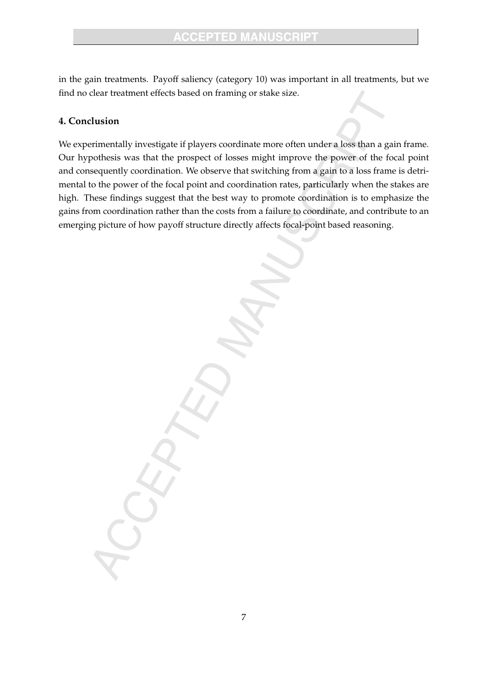in the gain treatments. Payoff saliency (category 10) was important in all treatments, but we find no clear treatment effects based on framing or stake size.

## **4. Conclusion**

We experimentally investigate if players coordinate more often under a loss than a gain frame. Our hypothesis was that the prospect of losses might improve the power of the focal point and consequently coordination. We observe that switching from a gain to a loss frame is detrimental to the power of the focal point and coordination rates, particularly when the stakes are high. These findings suggest that the best way to promote coordination is to emphasize the gains from coordination rather than the costs from a failure to coordinate, and contribute to an emerging picture of how payoff structure directly affects focal-point based reasoning.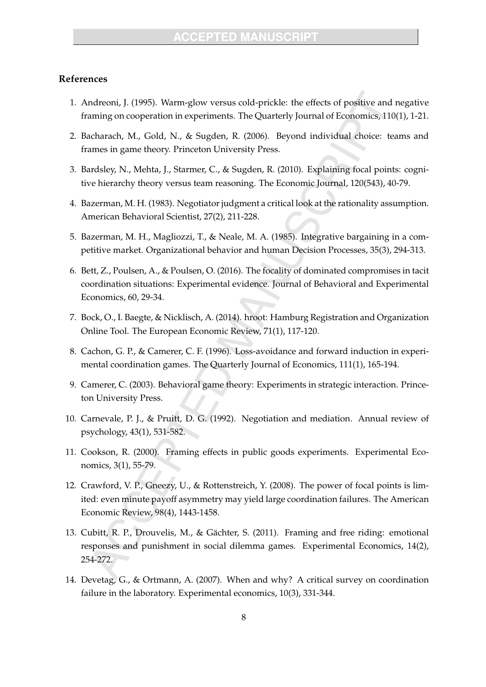#### **References**

- 1. Andreoni, J. (1995). Warm-glow versus cold-prickle: the effects of positive and negative framing on cooperation in experiments. The Quarterly Journal of Economics, 110(1), 1-21.
- 2. Bacharach, M., Gold, N., & Sugden, R. (2006). Beyond individual choice: teams and frames in game theory. Princeton University Press.
- 3. Bardsley, N., Mehta, J., Starmer, C., & Sugden, R. (2010). Explaining focal points: cognitive hierarchy theory versus team reasoning. The Economic Journal, 120(543), 40-79.
- 4. Bazerman, M. H. (1983). Negotiator judgment a critical look at the rationality assumption. American Behavioral Scientist, 27(2), 211-228.
- 5. Bazerman, M. H., Magliozzi, T., & Neale, M. A. (1985). Integrative bargaining in a competitive market. Organizational behavior and human Decision Processes, 35(3), 294-313.
- 6. Bett, Z., Poulsen, A., & Poulsen, O. (2016). The focality of dominated compromises in tacit coordination situations: Experimental evidence. Journal of Behavioral and Experimental Economics, 60, 29-34.
- 7. Bock, O., I. Baegte, & Nicklisch, A. (2014). hroot: Hamburg Registration and Organization Online Tool. The European Economic Review, 71(1), 117-120.
- 8. Cachon, G. P., & Camerer, C. F. (1996). Loss-avoidance and forward induction in experimental coordination games. The Quarterly Journal of Economics, 111(1), 165-194.
- 9. Camerer, C. (2003). Behavioral game theory: Experiments in strategic interaction. Princeton University Press.
- 10. Carnevale, P. J., & Pruitt, D. G. (1992). Negotiation and mediation. Annual review of psychology, 43(1), 531-582.
- 11. Cookson, R. (2000). Framing effects in public goods experiments. Experimental Economics, 3(1), 55-79.
- 12. Crawford, V. P., Gneezy, U., & Rottenstreich, Y. (2008). The power of focal points is limited: even minute payoff asymmetry may yield large coordination failures. The American Economic Review, 98(4), 1443-1458.
- 13. Cubitt, R. P., Drouvelis, M., & Gächter, S. (2011). Framing and free riding: emotional responses and punishment in social dilemma games. Experimental Economics, 14(2), 254-272.
- 14. Devetag, G., & Ortmann, A. (2007). When and why? A critical survey on coordination failure in the laboratory. Experimental economics, 10(3), 331-344.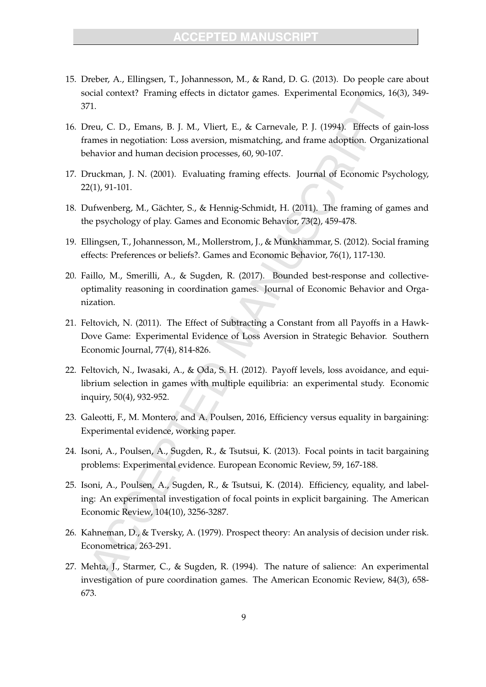- 15. Dreber, A., Ellingsen, T., Johannesson, M., & Rand, D. G. (2013). Do people care about social context? Framing effects in dictator games. Experimental Economics, 16(3), 349- 371.
- 16. Dreu, C. D., Emans, B. J. M., Vliert, E., & Carnevale, P. J. (1994). Effects of gain-loss frames in negotiation: Loss aversion, mismatching, and frame adoption. Organizational behavior and human decision processes, 60, 90-107.
- 17. Druckman, J. N. (2001). Evaluating framing effects. Journal of Economic Psychology, 22(1), 91-101.
- 18. Dufwenberg, M., Gächter, S., & Hennig-Schmidt, H. (2011). The framing of games and the psychology of play. Games and Economic Behavior, 73(2), 459-478.
- 19. Ellingsen, T., Johannesson, M., Mollerstrom, J., & Munkhammar, S. (2012). Social framing effects: Preferences or beliefs?. Games and Economic Behavior, 76(1), 117-130.
- 20. Faillo, M., Smerilli, A., & Sugden, R. (2017). Bounded best-response and collectiveoptimality reasoning in coordination games. Journal of Economic Behavior and Organization.
- 21. Feltovich, N. (2011). The Effect of Subtracting a Constant from all Payoffs in a Hawk-Dove Game: Experimental Evidence of Loss Aversion in Strategic Behavior. Southern Economic Journal, 77(4), 814-826.
- 22. Feltovich, N., Iwasaki, A., & Oda, S. H. (2012). Payoff levels, loss avoidance, and equilibrium selection in games with multiple equilibria: an experimental study. Economic inquiry, 50(4), 932-952.
- 23. Galeotti, F., M. Montero, and A. Poulsen, 2016, Efficiency versus equality in bargaining: Experimental evidence, working paper.
- 24. Isoni, A., Poulsen, A., Sugden, R., & Tsutsui, K. (2013). Focal points in tacit bargaining problems: Experimental evidence. European Economic Review, 59, 167-188.
- 25. Isoni, A., Poulsen, A., Sugden, R., & Tsutsui, K. (2014). Efficiency, equality, and labeling: An experimental investigation of focal points in explicit bargaining. The American Economic Review, 104(10), 3256-3287.
- 26. Kahneman, D., & Tversky, A. (1979). Prospect theory: An analysis of decision under risk. Econometrica, 263-291.
- 27. Mehta, J., Starmer, C., & Sugden, R. (1994). The nature of salience: An experimental investigation of pure coordination games. The American Economic Review, 84(3), 658- 673.